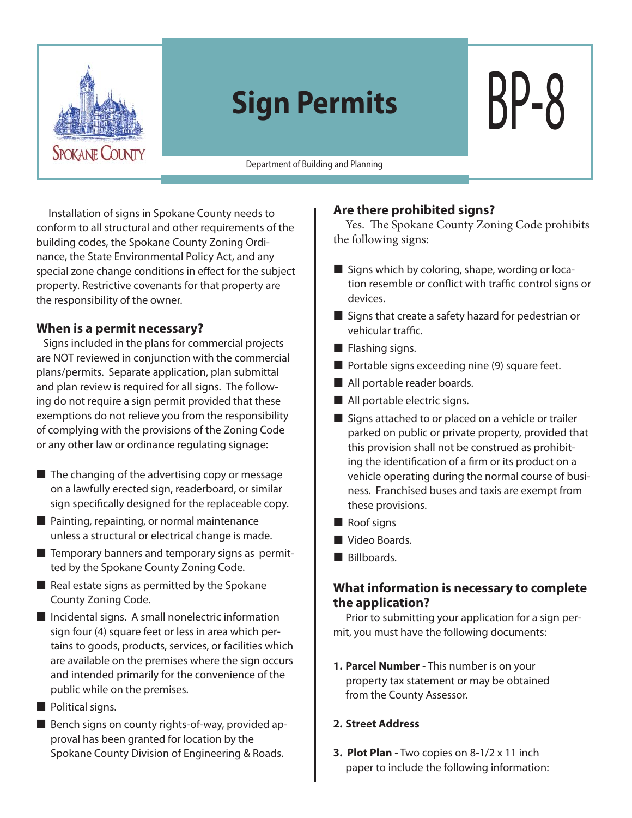

# **Sign Permits** BP-8

Department of Building and Planning

Installation of signs in Spokane County needs to conform to all structural and other requirements of the building codes, the Spokane County Zoning Ordinance, the State Environmental Policy Act, and any special zone change conditions in effect for the subject property. Restrictive covenants for that property are the responsibility of the owner.

#### **When is a permit necessary?**

 Signs included in the plans for commercial projects are NOT reviewed in conjunction with the commercial plans/permits. Separate application, plan submittal and plan review is required for all signs. The following do not require a sign permit provided that these exemptions do not relieve you from the responsibility of complying with the provisions of the Zoning Code or any other law or ordinance regulating signage:

- $\blacksquare$  The changing of the advertising copy or message on a lawfully erected sign, readerboard, or similar sign specifically designed for the replaceable copy.
- Painting, repainting, or normal maintenance unless a structural or electrical change is made.
- $\blacksquare$  Temporary banners and temporary signs as permitted by the Spokane County Zoning Code.
- $\blacksquare$  Real estate signs as permitted by the Spokane County Zoning Code.
- $\blacksquare$  Incidental signs. A small nonelectric information sign four (4) square feet or less in area which pertains to goods, products, services, or facilities which are available on the premises where the sign occurs and intended primarily for the convenience of the public while on the premises.
- Political signs.
- Bench signs on county rights-of-way, provided approval has been granted for location by the Spokane County Division of Engineering & Roads.

#### **Are there prohibited signs?**

Yes. The Spokane County Zoning Code prohibits the following signs:

- $\blacksquare$  Signs which by coloring, shape, wording or location resemble or conflict with traffic control signs or devices.
- $\blacksquare$  Signs that create a safety hazard for pedestrian or vehicular traffic.
- $\blacksquare$  Flashing signs.
- $\blacksquare$  Portable signs exceeding nine (9) square feet.
- All portable reader boards.
- All portable electric signs.
- Signs attached to or placed on a vehicle or trailer parked on public or private property, provided that this provision shall not be construed as prohibiting the identification of a firm or its product on a vehicle operating during the normal course of business. Franchised buses and taxis are exempt from these provisions.
- Roof signs
- Video Boards.
- Billboards.

## **What information is necessary to complete the application?**

Prior to submitting your application for a sign permit, you must have the following documents:

**1. Parcel Number** - This number is on your property tax statement or may be obtained from the County Assessor.

#### **2. Street Address**

**3. Plot Plan** - Two copies on 8-1/2 x 11 inch paper to include the following information: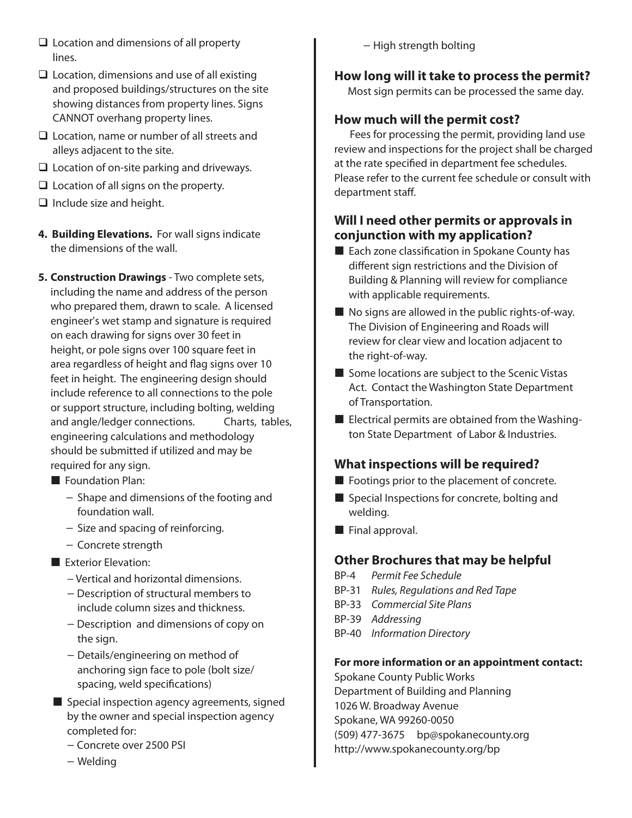- $\Box$  Location and dimensions of all property lines.
- $\Box$  Location, dimensions and use of all existing and proposed buildings/structures on the site showing distances from property lines. Signs CANNOT overhang property lines.
- □ Location, name or number of all streets and alleys adjacent to the site.
- $\Box$  Location of on-site parking and driveways.
- $\Box$  Location of all signs on the property.
- $\Box$  Include size and height.
- **4. Building Elevations.** For wall signs indicate the dimensions of the wall.
- **5. Construction Drawings** Two complete sets, including the name and address of the person who prepared them, drawn to scale. A licensed engineer's wet stamp and signature is required on each drawing for signs over 30 feet in height, or pole signs over 100 square feet in area regardless of height and flag signs over 10 feet in height. The engineering design should include reference to all connections to the pole or support structure, including bolting, welding and angle/ledger connections. Charts, tables, engineering calculations and methodology should be submitted if utilized and may be required for any sign.
	- **Foundation Plan:** 
		- − Shape and dimensions of the footing and foundation wall.
		- − Size and spacing of reinforcing.
		- − Concrete strength
	- Exterior Elevation:
		- − Vertical and horizontal dimensions.
		- − Description of structural members to include column sizes and thickness.
		- − Description and dimensions of copy on the sign.
		- − Details/engineering on method of anchoring sign face to pole (bolt size/ spacing, weld specifications)
	- Special inspection agency agreements, signed by the owner and special inspection agency completed for:
		- − Concrete over 2500 PSI
		- − Welding

− High strength bolting

# **How long will it take to process the permit?**

Most sign permits can be processed the same day.

## **How much will the permit cost?**

 Fees for processing the permit, providing land use review and inspections for the project shall be charged at the rate specified in department fee schedules. Please refer to the current fee schedule or consult with department staff.

## **Will I need other permits or approvals in conjunction with my application?**

- $\blacksquare$  Each zone classification in Spokane County has different sign restrictions and the Division of Building & Planning will review for compliance with applicable requirements.
- No signs are allowed in the public rights-of-way. The Division of Engineering and Roads will review for clear view and location adjacent to the right-of-way.
- $\blacksquare$  Some locations are subject to the Scenic Vistas Act. Contact the Washington State Department of Transportation.
- **E** Electrical permits are obtained from the Washington State Department of Labor & Industries.

## **What inspections will be required?**

- Footings prior to the placement of concrete.
- Special Inspections for concrete, bolting and welding.
- **Final approval.**

## **Other Brochures that may be helpful**

- BP-4 *Permit Fee Schedule*
- BP-31 *Rules, Regulations and Red Tape*
- BP-33 *Commercial Site Plans*
- BP-39 *Addressing*
- BP-40 *Information Directory*

#### **For more information or an appointment contact:**

Spokane County Public Works Department of Building and Planning 1026 W. Broadway Avenue Spokane, WA 99260-0050 (509) 477-3675 bp@spokanecounty.org http://www.spokanecounty.org/bp